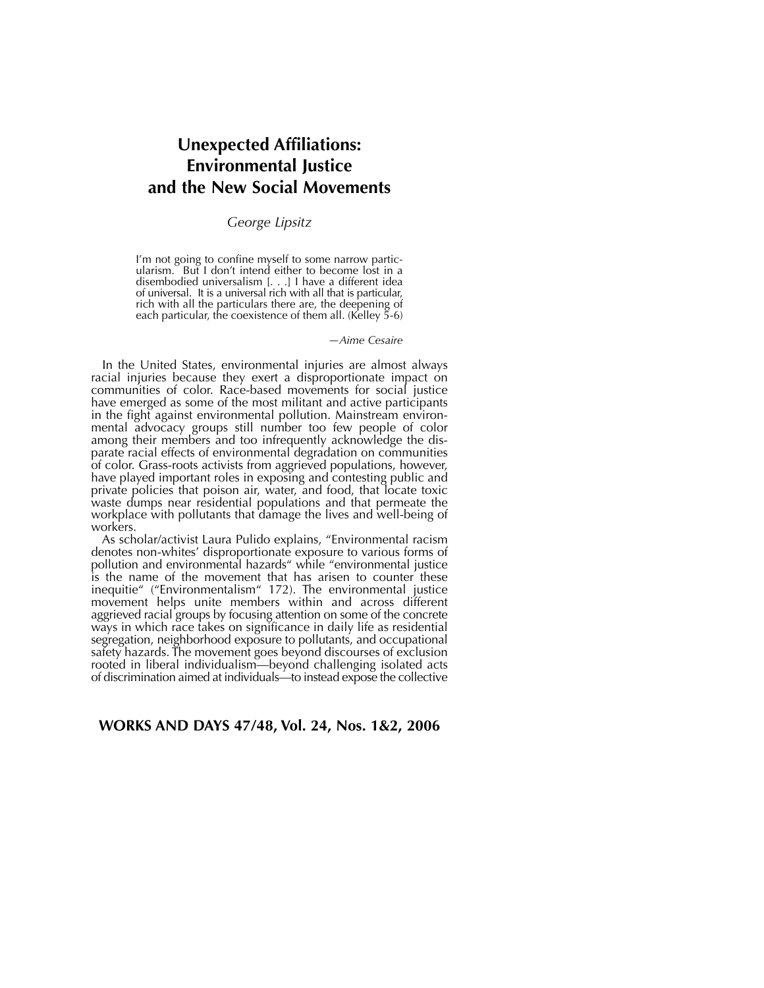# **Unexpected Affiliations: Environmental Justice and the New Social Movements**

#### *George Lipsitz*

I'm not going to confine myself to some narrow particularism. But I don't intend either to become lost in a disembodied universalism [. . .] I have a different idea of universal. It is a universal rich with all that is particular, rich with all the particulars there are, the deepening of each particular, the coexistence of them all. (Kelley 5-6)

*—Aime Cesaire* 

In the United States, environmental injuries are almost always racial injuries because they exert a disproportionate impact on communities of color. Race-based movements for social justice have emerged as some of the most militant and active participants in the fight against environmental pollution. Mainstream environmental advocacy groups still number too few people of color among their members and too infrequently acknowledge the disparate racial effects of environmental degradation on communities of color. Grass-roots activists from aggrieved populations, however, have played important roles in exposing and contesting public and private policies that poison air, water, and food, that locate toxic waste dumps near residential populations and that permeate the workplace with pollutants that damage the lives and well-being of workers.

As scholar/activist Laura Pulido explains, "Environmental racism denotes non-whites' disproportionate exposure to various forms of pollution and environmental hazards" while "environmental justice is the name of the movement that has arisen to counter these inequitie" ("Environmentalism" 172). The environmental justice movement helps unite members within and across different aggrieved racial groups by focusing attention on some of the concrete ways in which race takes on significance in daily life as residential segregation, neighborhood exposure to pollutants, and occupational safety hazards. The movement goes beyond discourses of exclusion rooted in liberal individualism—beyond challenging isolated acts of discrimination aimed at individuals—to instead expose the collective

#### **WORKS AND DAYS 47/48, Vol. 24, Nos. 1&2, 2006**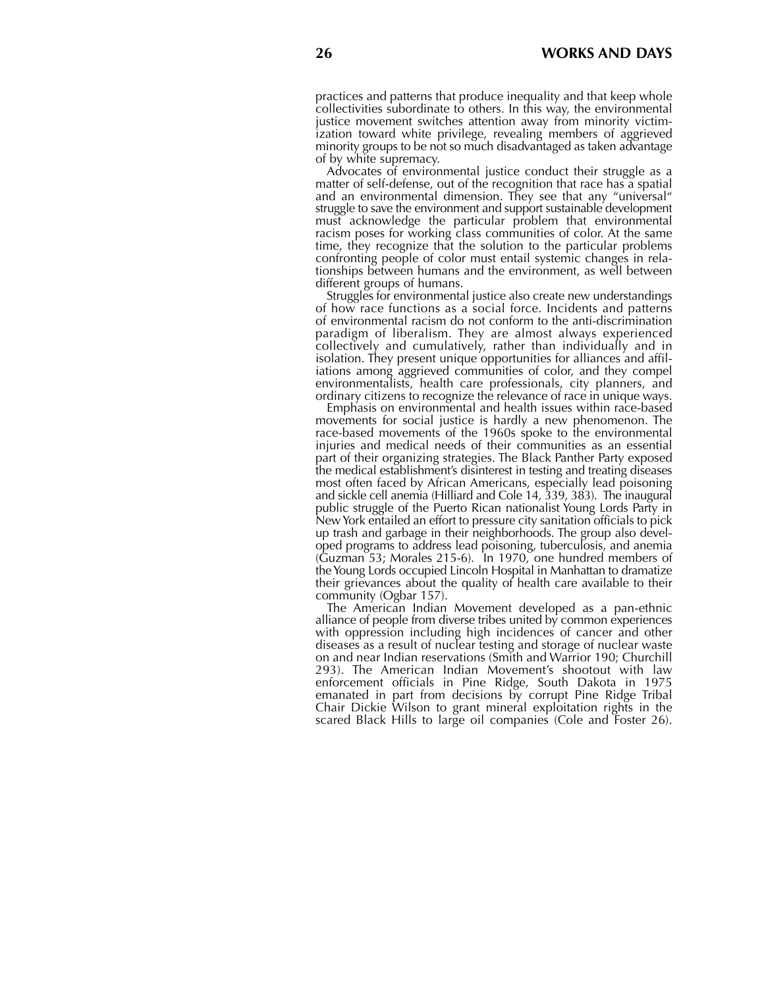practices and patterns that produce inequality and that keep whole collectivities subordinate to others. In this way, the environmental justice movement switches attention away from minority victimization toward white privilege, revealing members of aggrieved minority groups to be not so much disadvantaged as taken advantage of by white supremacy.

Advocates of environmental justice conduct their struggle as a matter of self-defense, out of the recognition that race has a spatial and an environmental dimension. They see that any "universal" struggle to save the environment and support sustainable development must acknowledge the particular problem that environmental racism poses for working class communities of color. At the same time, they recognize that the solution to the particular problems confronting people of color must entail systemic changes in relationships between humans and the environment, as well between different groups of humans.

Struggles for environmental justice also create new understandings of how race functions as a social force. Incidents and patterns of environmental racism do not conform to the anti-discrimination paradigm of liberalism. They are almost always experienced collectively and cumulatively, rather than individually and in isolation. They present unique opportunities for alliances and affiliations among aggrieved communities of color, and they compel environmentalists, health care professionals, city planners, and ordinary citizens to recognize the relevance of race in unique ways.

Emphasis on environmental and health issues within race-based movements for social justice is hardly a new phenomenon. The race-based movements of the 1960s spoke to the environmental injuries and medical needs of their communities as an essential part of their organizing strategies. The Black Panther Party exposed the medical establishment's disinterest in testing and treating diseases most often faced by African Americans, especially lead poisoning and sickle cell anemia (Hilliard and Cole 14, 339, 383). The inaugural public struggle of the Puerto Rican nationalist Young Lords Party in New York entailed an effort to pressure city sanitation officials to pick up trash and garbage in their neighborhoods. The group also developed programs to address lead poisoning, tuberculosis, and anemia (Guzman 53; Morales 215-6). In 1970, one hundred members of the Young Lords occupied Lincoln Hospital in Manhattan to dramatize their grievances about the quality of health care available to their community (Ogbar 157).

The American Indian Movement developed as a pan-ethnic alliance of people from diverse tribes united by common experiences with oppression including high incidences of cancer and other diseases as a result of nuclear testing and storage of nuclear waste on and near Indian reservations (Smith and Warrior 190; Churchill 293). The American Indian Movement's shootout with law enforcement officials in Pine Ridge, South Dakota in 1975 emanated in part from decisions by corrupt Pine Ridge Tribal Chair Dickie Wilson to grant mineral exploitation rights in the scared Black Hills to large oil companies (Cole and Foster 26).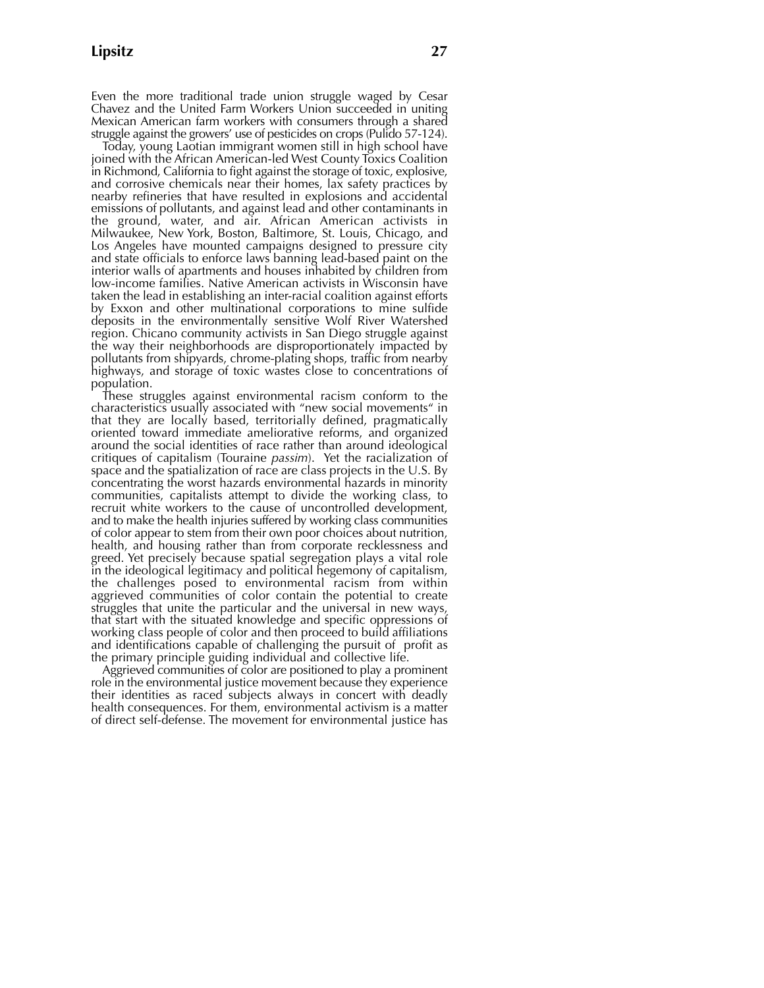Even the more traditional trade union struggle waged by Cesar Chavez and the United Farm Workers Union succeeded in uniting Mexican American farm workers with consumers through a shared struggle against the growers' use of pesticides on crops (Pulido 57-124).

Today, young Laotian immigrant women still in high school have joined with the African American-led West County Toxics Coalition in Richmond, California to fight against the storage of toxic, explosive, and corrosive chemicals near their homes, lax safety practices by nearby refineries that have resulted in explosions and accidental emissions of pollutants, and against lead and other contaminants in the ground, water, and air. African American activists in Milwaukee, New York, Boston, Baltimore, St. Louis, Chicago, and Los Angeles have mounted campaigns designed to pressure city and state officials to enforce laws banning lead-based paint on the interior walls of apartments and houses inhabited by children from low-income families. Native American activists in Wisconsin have taken the lead in establishing an inter-racial coalition against efforts by Exxon and other multinational corporations to mine sulfide deposits in the environmentally sensitive Wolf River Watershed region. Chicano community activists in San Diego struggle against the way their neighborhoods are disproportionately impacted by pollutants from shipyards, chrome-plating shops, traffic from nearby highways, and storage of toxic wastes close to concentrations of population.

These struggles against environmental racism conform to the characteristics usually associated with "new social movements" in that they are locally based, territorially defined, pragmatically oriented toward immediate ameliorative reforms, and organized around the social identities of race rather than around ideological critiques of capitalism (Touraine *passim*). Yet the racialization of space and the spatialization of race are class projects in the U.S. By concentrating the worst hazards environmental hazards in minority communities, capitalists attempt to divide the working class, to recruit white workers to the cause of uncontrolled development, and to make the health injuries suffered by working class communities of color appear to stem from their own poor choices about nutrition, health, and housing rather than from corporate recklessness and greed. Yet precisely because spatial segregation plays a vital role in the ideological legitimacy and political hegemony of capitalism, the challenges posed to environmental racism from within aggrieved communities of color contain the potential to create struggles that unite the particular and the universal in new ways, that start with the situated knowledge and specific oppressions of working class people of color and then proceed to build affiliations and identifications capable of challenging the pursuit of profit as the primary principle guiding individual and collective life.

Aggrieved communities of color are positioned to play a prominent role in the environmental justice movement because they experience their identities as raced subjects always in concert with deadly health consequences. For them, environmental activism is a matter of direct self-defense. The movement for environmental justice has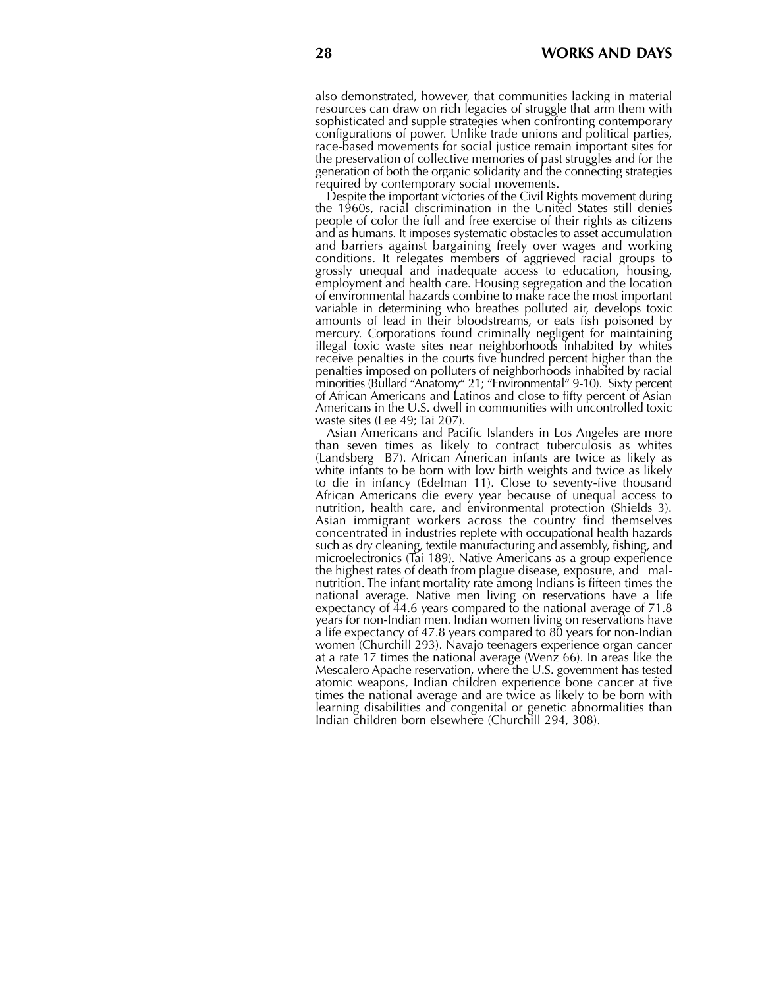also demonstrated, however, that communities lacking in material resources can draw on rich legacies of struggle that arm them with sophisticated and supple strategies when confronting contemporary configurations of power. Unlike trade unions and political parties, race-based movements for social justice remain important sites for the preservation of collective memories of past struggles and for the generation of both the organic solidarity and the connecting strategies required by contemporary social movements.

Despite the important victories of the Civil Rights movement during the 1960s, racial discrimination in the United States still denies people of color the full and free exercise of their rights as citizens and as humans. It imposes systematic obstacles to asset accumulation and barriers against bargaining freely over wages and working conditions. It relegates members of aggrieved racial groups to grossly unequal and inadequate access to education, housing, employment and health care. Housing segregation and the location of environmental hazards combine to make race the most important variable in determining who breathes polluted air, develops toxic amounts of lead in their bloodstreams, or eats fish poisoned by mercury. Corporations found criminally negligent for maintaining illegal toxic waste sites near neighborhoods inhabited by whites receive penalties in the courts five hundred percent higher than the penalties imposed on polluters of neighborhoods inhabited by racial minorities (Bullard "Anatomy" 21; "Environmental" 9-10). Sixty percent of African Americans and Latinos and close to fifty percent of Asian Americans in the U.S. dwell in communities with uncontrolled toxic waste sites (Lee 49; Tai 207).

Asian Americans and Pacific Islanders in Los Angeles are more than seven times as likely to contract tuberculosis as whites (Landsberg B7). African American infants are twice as likely as white infants to be born with low birth weights and twice as likely to die in infancy (Edelman 11). Close to seventy-five thousand African Americans die every year because of unequal access to nutrition, health care, and environmental protection (Shields 3). Asian immigrant workers across the country find themselves concentrated in industries replete with occupational health hazards such as dry cleaning, textile manufacturing and assembly, fishing, and microelectronics (Tai 189). Native Americans as a group experience the highest rates of death from plague disease, exposure, and malnutrition. The infant mortality rate among Indians is fifteen times the national average. Native men living on reservations have a life expectancy of 44.6 years compared to the national average of 71.8 years for non-Indian men. Indian women living on reservations have a life expectancy of 47.8 years compared to 80 years for non-Indian women (Churchill 293). Navajo teenagers experience organ cancer at a rate 17 times the national average (Wenz 66). In areas like the Mescalero Apache reservation, where the U.S. government has tested atomic weapons, Indian children experience bone cancer at five times the national average and are twice as likely to be born with learning disabilities and congenital or genetic abnormalities than Indian children born elsewhere (Churchill 294, 308).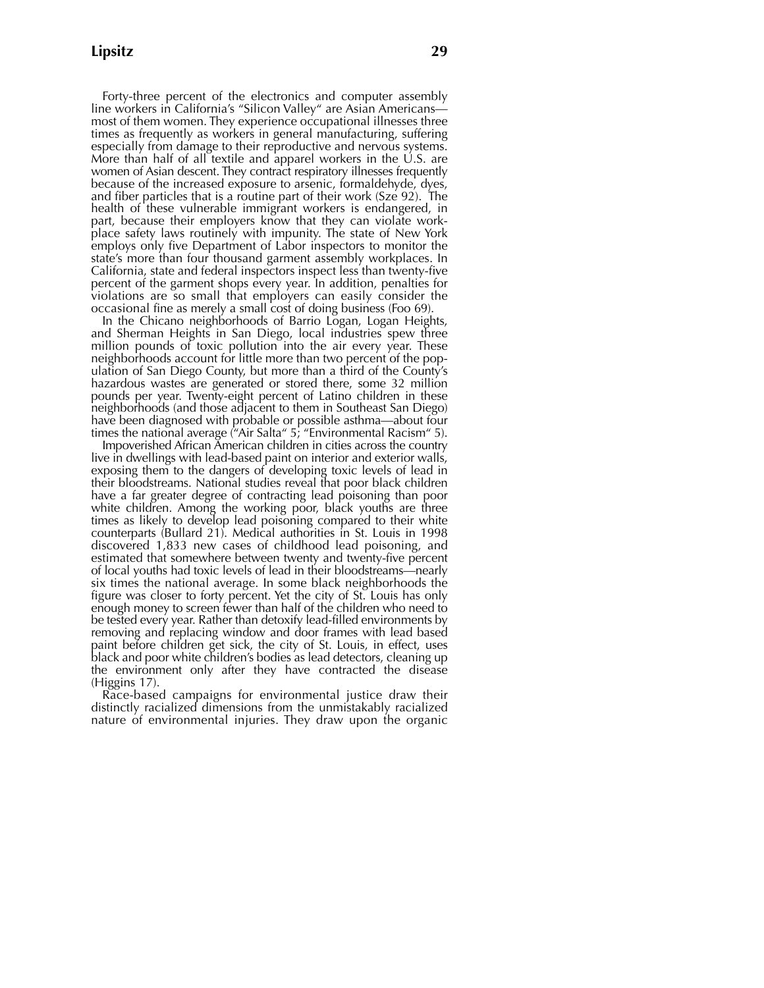Forty-three percent of the electronics and computer assembly line workers in California's "Silicon Valley" are Asian Americans most of them women. They experience occupational illnesses three times as frequently as workers in general manufacturing, suffering especially from damage to their reproductive and nervous systems. More than half of all textile and apparel workers in the  $\dot{\cup}$ . S. are women of Asian descent. They contract respiratory illnesses frequently because of the increased exposure to arsenic, formaldehyde, dyes, and fiber particles that is a routine part of their work (Sze 92). The health of these vulnerable immigrant workers is endangered, in part, because their employers know that they can violate workplace safety laws routinely with impunity. The state of New York employs only five Department of Labor inspectors to monitor the state's more than four thousand garment assembly workplaces. In California, state and federal inspectors inspect less than twenty-five percent of the garment shops every year. In addition, penalties for violations are so small that employers can easily consider the occasional fine as merely a small cost of doing business (Foo 69).

In the Chicano neighborhoods of Barrio Logan, Logan Heights, and Sherman Heights in San Diego, local industries spew three million pounds of toxic pollution into the air every year. These neighborhoods account for little more than two percent of the population of San Diego County, but more than a third of the County's hazardous wastes are generated or stored there, some 32 million pounds per year. Twenty-eight percent of Latino children in these neighborhoods (and those adjacent to them in Southeast San Diego) have been diagnosed with probable or possible asthma—about four times the national average ("Air Salta" 5; "Environmental Racism" 5).

Impoverished African American children in cities across the country live in dwellings with lead-based paint on interior and exterior walls, exposing them to the dangers of developing toxic levels of lead in their bloodstreams. National studies reveal that poor black children have a far greater degree of contracting lead poisoning than poor white children. Among the working poor, black youths are three times as likely to develop lead poisoning compared to their white counterparts (Bullard 21). Medical authorities in St. Louis in 1998 discovered 1,833 new cases of childhood lead poisoning, and estimated that somewhere between twenty and twenty-five percent of local youths had toxic levels of lead in their bloodstreams—nearly six times the national average. In some black neighborhoods the figure was closer to forty percent. Yet the city of St. Louis has only enough money to screen fewer than half of the children who need to be tested every year. Rather than detoxify lead-filled environments by removing and replacing window and door frames with lead based paint before children get sick, the city of St. Louis, in effect, uses black and poor white children's bodies as lead detectors, cleaning up the environment only after they have contracted the disease (Higgins 17).

Race-based campaigns for environmental justice draw their distinctly racialized dimensions from the unmistakably racialized nature of environmental injuries. They draw upon the organic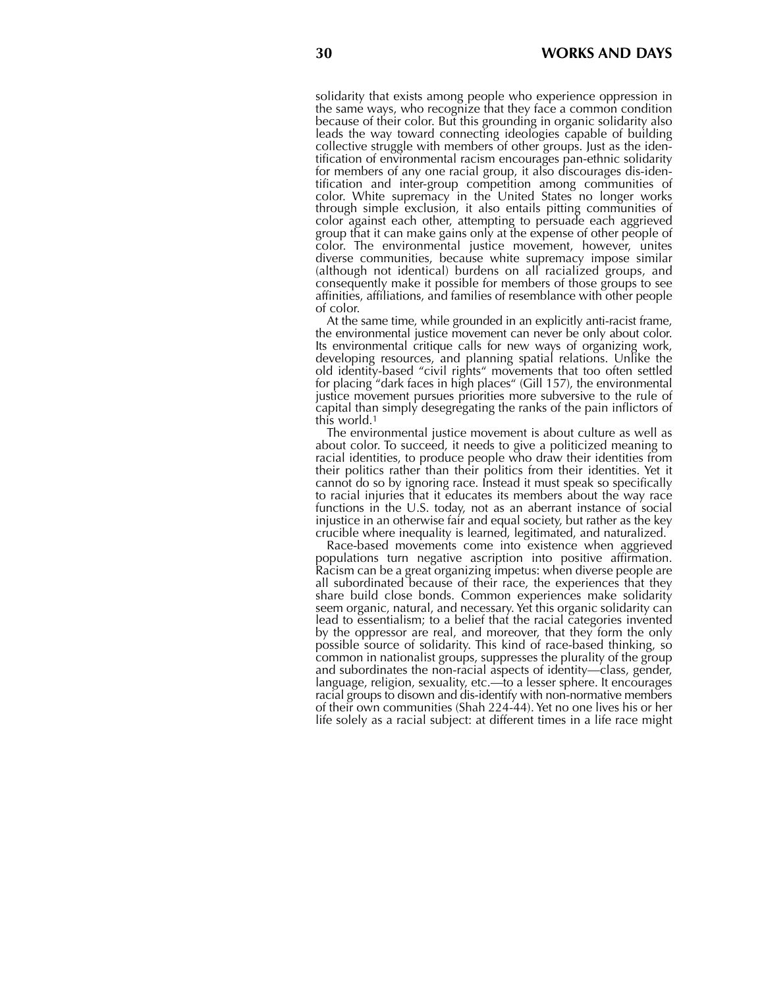solidarity that exists among people who experience oppression in the same ways, who recognize that they face a common condition because of their color. But this grounding in organic solidarity also leads the way toward connecting ideologies capable of building collective struggle with members of other groups. Just as the identification of environmental racism encourages pan-ethnic solidarity for members of any one racial group, it also discourages dis-identification and inter-group competition among communities of color. White supremacy in the United States no longer works through simple exclusion, it also entails pitting communities of color against each other, attempting to persuade each aggrieved group that it can make gains only at the expense of other people of color. The environmental justice movement, however, unites diverse communities, because white supremacy impose similar (although not identical) burdens on all racialized groups, and consequently make it possible for members of those groups to see affinities, affiliations, and families of resemblance with other people of color.

At the same time, while grounded in an explicitly anti-racist frame, the environmental justice movement can never be only about color. Its environmental critique calls for new ways of organizing work, developing resources, and planning spatial relations. Unlike the old identity-based "civil rights" movements that too often settled for placing "dark faces in high places" (Gill 157), the environmental justice movement pursues priorities more subversive to the rule of capital than simply desegregating the ranks of the pain inflictors of this world.<sup>1</sup>

The environmental justice movement is about culture as well as about color. To succeed, it needs to give a politicized meaning to racial identities, to produce people who draw their identities from their politics rather than their politics from their identities. Yet it cannot do so by ignoring race. Instead it must speak so specifically to racial injuries that it educates its members about the way race functions in the U.S. today, not as an aberrant instance of social injustice in an otherwise fair and equal society, but rather as the key crucible where inequality is learned, legitimated, and naturalized.

Race-based movements come into existence when aggrieved populations turn negative ascription into positive affirmation. Racism can be a great organizing impetus: when diverse people are all subordinated because of their race, the experiences that they share build close bonds. Common experiences make solidarity seem organic, natural, and necessary. Yet this organic solidarity can lead to essentialism; to a belief that the racial categories invented by the oppressor are real, and moreover, that they form the only possible source of solidarity. This kind of race-based thinking, so common in nationalist groups, suppresses the plurality of the group and subordinates the non-racial aspects of identity—class, gender, language, religion, sexuality, etc.—to a lesser sphere. It encourages racial groups to disown and dis-identify with non-normative members of their own communities (Shah 224-44). Yet no one lives his or her life solely as a racial subject: at different times in a life race might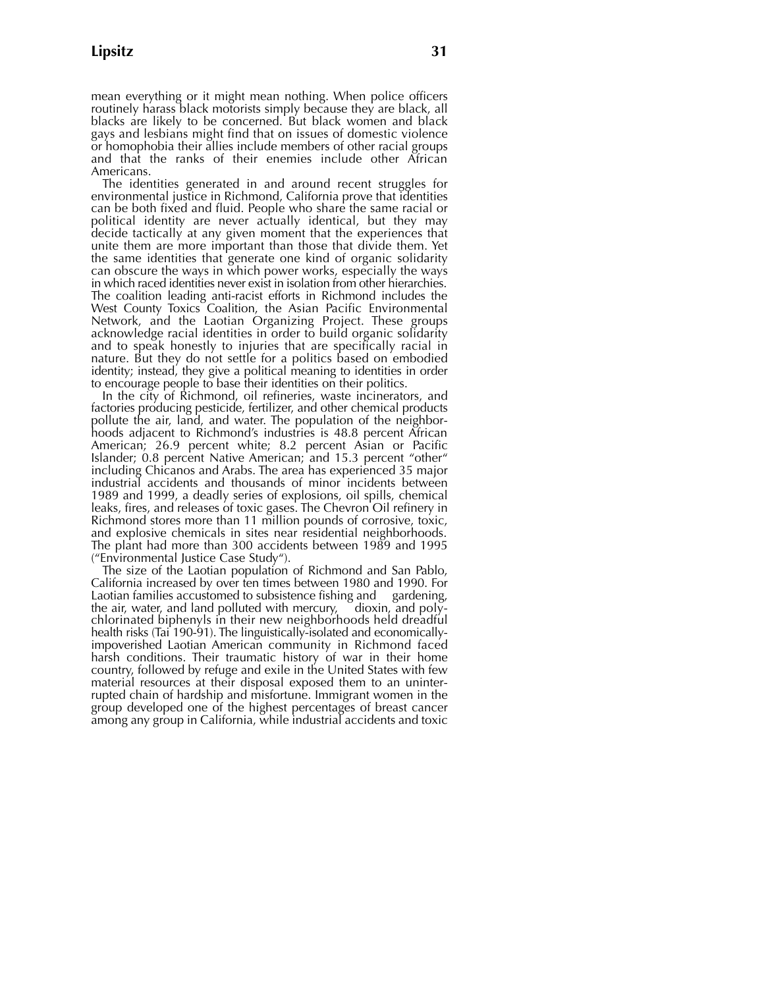mean everything or it might mean nothing. When police officers routinely harass black motorists simply because they are black, all blacks are likely to be concerned. But black women and black gays and lesbians might find that on issues of domestic violence or homophobia their allies include members of other racial groups and that the ranks of their enemies include other African Americans.

The identities generated in and around recent struggles for environmental justice in Richmond, California prove that identities can be both fixed and fluid. People who share the same racial or political identity are never actually identical, but they may decide tactically at any given moment that the experiences that unite them are more important than those that divide them. Yet the same identities that generate one kind of organic solidarity can obscure the ways in which power works, especially the ways in which raced identities never exist in isolation from other hierarchies. The coalition leading anti-racist efforts in Richmond includes the West County Toxics Coalition, the Asian Pacific Environmental Network, and the Laotian Organizing Project. These groups acknowledge racial identities in order to build organic solidarity and to speak honestly to injuries that are specifically racial in nature. But they do not settle for a politics based on embodied identity; instead, they give a political meaning to identities in order to encourage people to base their identities on their politics.

In the city of Richmond, oil refineries, waste incinerators, and factories producing pesticide, fertilizer, and other chemical products pollute the air, land, and water. The population of the neighborhoods adjacent to Richmond's industries is 48.8 percent African American; 26.9 percent white; 8.2 percent Asian or Pacific Islander; 0.8 percent Native American; and 15.3 percent "other" including Chicanos and Arabs. The area has experienced 35 major industrial accidents and thousands of minor incidents between 1989 and 1999, a deadly series of explosions, oil spills, chemical leaks, fires, and releases of toxic gases. The Chevron Oil refinery in Richmond stores more than 11 million pounds of corrosive, toxic, and explosive chemicals in sites near residential neighborhoods. The plant had more than 300 accidents between 1989 and 1995 ("Environmental Justice Case Study").

The size of the Laotian population of Richmond and San Pablo, California increased by over ten times between 1980 and 1990. For Laotian families accustomed to subsistence fishing and gardening, the air, water, and land polluted with mercury, dioxin, and polythe air, water, and land polluted with mercury, chlorinated biphenyls in their new neighborhoods held dreadful health risks (Tai 190-91). The linguistically-isolated and economicallyimpoverished Laotian American community in Richmond faced harsh conditions. Their traumatic history of war in their home country, followed by refuge and exile in the United States with few material resources at their disposal exposed them to an uninterrupted chain of hardship and misfortune. Immigrant women in the group developed one of the highest percentages of breast cancer among any group in California, while industrial accidents and toxic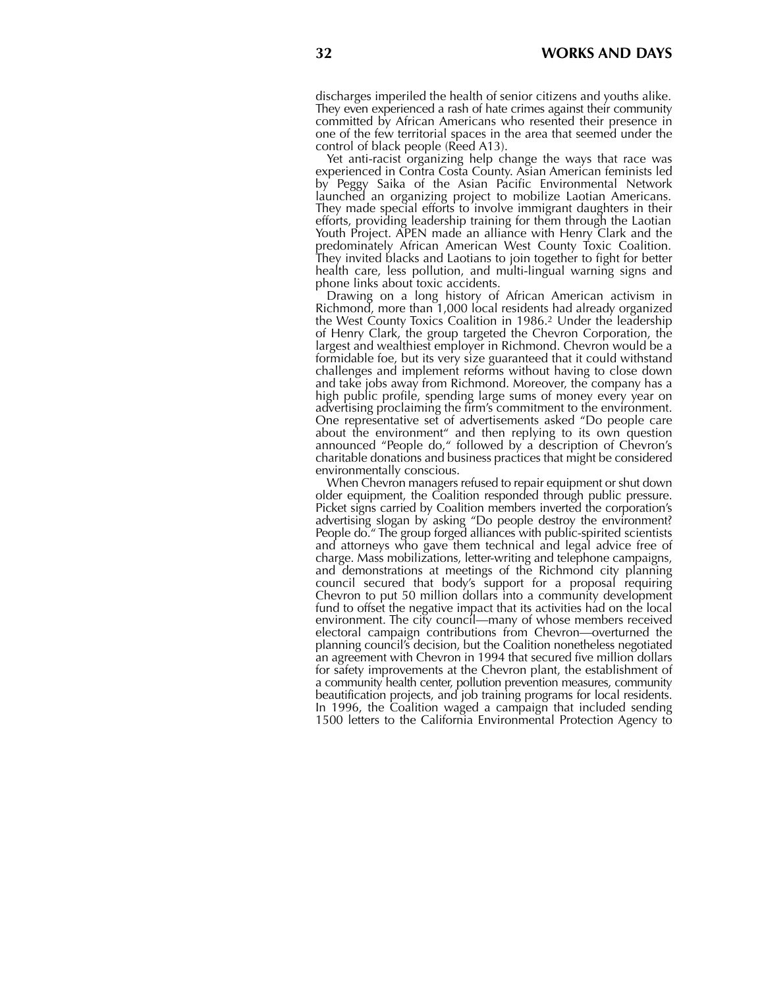discharges imperiled the health of senior citizens and youths alike. They even experienced a rash of hate crimes against their community committed by African Americans who resented their presence in one of the few territorial spaces in the area that seemed under the control of black people (Reed A13).

Yet anti-racist organizing help change the ways that race was experienced in Contra Costa County. Asian American feminists led by Peggy Saika of the Asian Pacific Environmental Network launched an organizing project to mobilize Laotian Americans. They made special efforts to involve immigrant daughters in their efforts, providing leadership training for them through the Laotian Youth Project. APEN made an alliance with Henry Clark and the predominately African American West County Toxic Coalition. They invited blacks and Laotians to join together to fight for better health care, less pollution, and multi-lingual warning signs and phone links about toxic accidents.

Drawing on a long history of African American activism in Richmond, more than 1,000 local residents had already organized the West County Toxics Coalition in 1986.<sup>2</sup> Under the leadership of Henry Clark, the group targeted the Chevron Corporation, the largest and wealthiest employer in Richmond. Chevron would be a formidable foe, but its very size guaranteed that it could withstand challenges and implement reforms without having to close down and take jobs away from Richmond. Moreover, the company has a high public profile, spending large sums of money every year on advertising proclaiming the firm's commitment to the environment. One representative set of advertisements asked "Do people care about the environment" and then replying to its own question announced "People do," followed by a description of Chevron's charitable donations and business practices that might be considered environmentally conscious.

When Chevron managers refused to repair equipment or shut down older equipment, the Coalition responded through public pressure. Picket signs carried by Coalition members inverted the corporation's advertising slogan by asking "Do people destroy the environment? People do." The group forged alliances with public-spirited scientists and attorneys who gave them technical and legal advice free of charge. Mass mobilizations, letter-writing and telephone campaigns, and demonstrations at meetings of the Richmond city planning council secured that body's support for a proposal requiring Chevron to put 50 million dollars into a community development fund to offset the negative impact that its activities had on the local environment. The city council—many of whose members received electoral campaign contributions from Chevron—overturned the planning council's decision, but the Coalition nonetheless negotiated an agreement with Chevron in 1994 that secured five million dollars for safety improvements at the Chevron plant, the establishment of a community health center, pollution prevention measures, community beautification projects, and job training programs for local residents. In 1996, the Coalition waged a campaign that included sending 1500 letters to the California Environmental Protection Agency to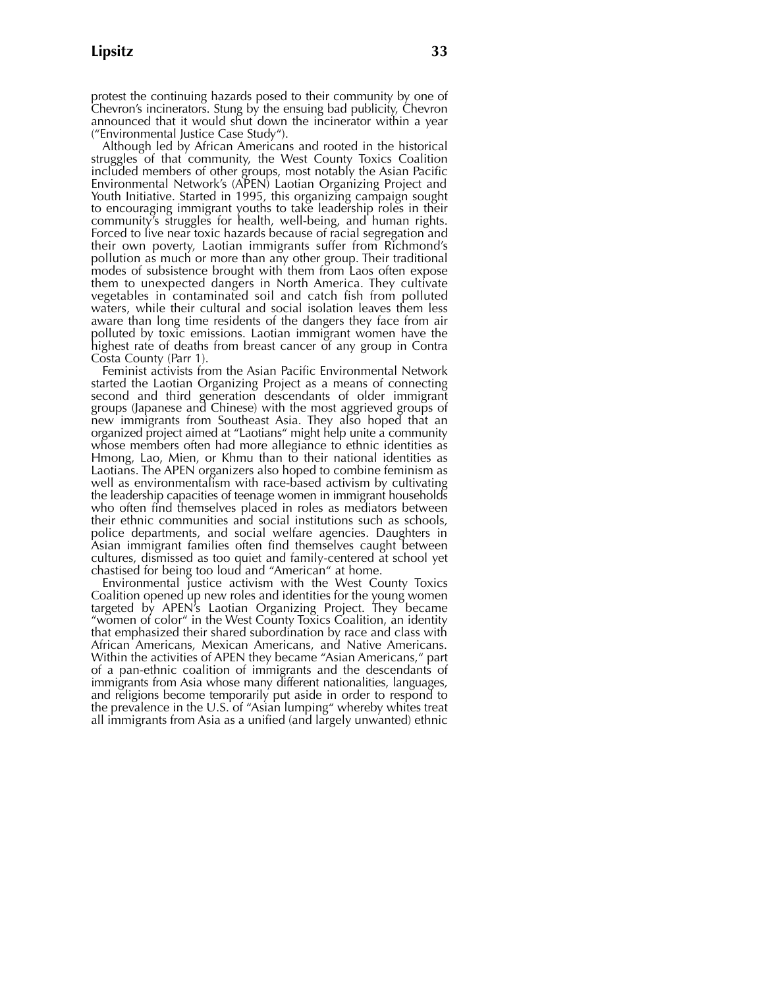protest the continuing hazards posed to their community by one of Chevron's incinerators. Stung by the ensuing bad publicity, Chevron announced that it would shut down the incinerator within a year ("Environmental Justice Case Study").

Although led by African Americans and rooted in the historical struggles of that community, the West County Toxics Coalition included members of other groups, most notably the Asian Pacific Environmental Network's (APEN) Laotian Organizing Project and Youth Initiative. Started in 1995, this organizing campaign sought to encouraging immigrant youths to take leadership roles in their community's struggles for health, well-being, and human rights. Forced to live near toxic hazards because of racial segregation and their own poverty, Laotian immigrants suffer from Richmond's pollution as much or more than any other group. Their traditional modes of subsistence brought with them from Laos often expose them to unexpected dangers in North America. They cultivate vegetables in contaminated soil and catch fish from polluted waters, while their cultural and social isolation leaves them less aware than long time residents of the dangers they face from air polluted by toxic emissions. Laotian immigrant women have the highest rate of deaths from breast cancer of any group in Contra Costa County (Parr 1).

Feminist activists from the Asian Pacific Environmental Network started the Laotian Organizing Project as a means of connecting second and third generation descendants of older immigrant groups (Japanese and Chinese) with the most aggrieved groups of new immigrants from Southeast Asia. They also hoped that an organized project aimed at "Laotians" might help unite a community whose members often had more allegiance to ethnic identities as Hmong, Lao, Mien, or Khmu than to their national identities as Laotians. The APEN organizers also hoped to combine feminism as well as environmentalism with race-based activism by cultivating the leadership capacities of teenage women in immigrant households who often find themselves placed in roles as mediators between their ethnic communities and social institutions such as schools, police departments, and social welfare agencies. Daughters in Asian immigrant families often find themselves caught between cultures, dismissed as too quiet and family-centered at school yet chastised for being too loud and "American" at home.

Environmental justice activism with the West County Toxics Coalition opened up new roles and identities for the young women targeted by APEN's Laotian Organizing Project. They became "women of color" in the West County Toxics Coalition, an identity that emphasized their shared subordination by race and class with African Americans, Mexican Americans, and Native Americans. Within the activities of APEN they became "Asian Americans," part of a pan-ethnic coalition of immigrants and the descendants of immigrants from Asia whose many different nationalities, languages, and religions become temporarily put aside in order to respond to the prevalence in the U.S. of "Asian lumping" whereby whites treat all immigrants from Asia as a unified (and largely unwanted) ethnic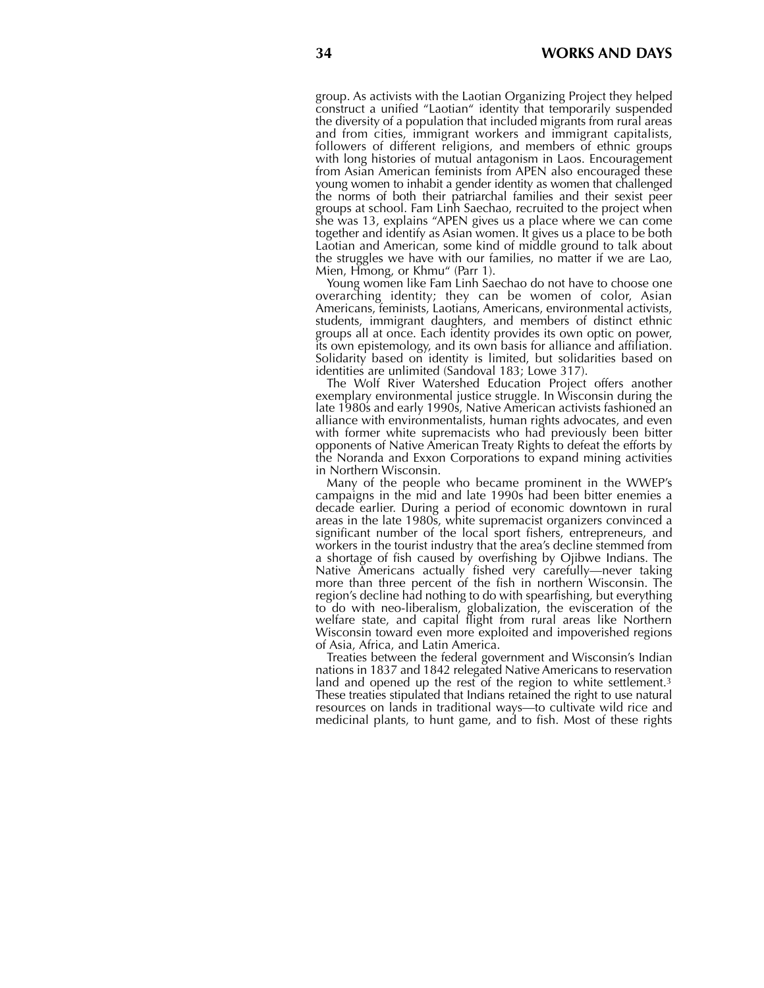group. As activists with the Laotian Organizing Project they helped construct a unified "Laotian" identity that temporarily suspended the diversity of a population that included migrants from rural areas and from cities, immigrant workers and immigrant capitalists, followers of different religions, and members of ethnic groups with long histories of mutual antagonism in Laos. Encouragement from Asian American feminists from APEN also encouraged these young women to inhabit a gender identity as women that challenged the norms of both their patriarchal families and their sexist peer groups at school. Fam Linh Saechao, recruited to the project when she was 13, explains "APEN gives us a place where we can come together and identify as Asian women. It gives us a place to be both Laotian and American, some kind of middle ground to talk about the struggles we have with our families, no matter if we are Lao, Mien, Hmong, or Khmu" (Parr 1).

Young women like Fam Linh Saechao do not have to choose one overarching identity; they can be women of color, Asian Americans, feminists, Laotians, Americans, environmental activists, students, immigrant daughters, and members of distinct ethnic groups all at once. Each identity provides its own optic on power, its own epistemology, and its own basis for alliance and affiliation. Solidarity based on identity is limited, but solidarities based on identities are unlimited (Sandoval 183; Lowe 317).

The Wolf River Watershed Education Project offers another exemplary environmental justice struggle. In Wisconsin during the late 1980s and early 1990s, Native American activists fashioned an alliance with environmentalists, human rights advocates, and even with former white supremacists who had previously been bitter opponents of Native American Treaty Rights to defeat the efforts by the Noranda and Exxon Corporations to expand mining activities in Northern Wisconsin.

Many of the people who became prominent in the WWEP's campaigns in the mid and late 1990s had been bitter enemies a decade earlier. During a period of economic downtown in rural areas in the late 1980s, white supremacist organizers convinced a significant number of the local sport fishers, entrepreneurs, and workers in the tourist industry that the area's decline stemmed from a shortage of fish caused by overfishing by Ojibwe Indians. The Native Americans actually fished very carefully—never taking more than three percent of the fish in northern Wisconsin. The region's decline had nothing to do with spearfishing, but everything to do with neo-liberalism, globalization, the evisceration of the welfare state, and capital flight from rural areas like Northern Wisconsin toward even more exploited and impoverished regions of Asia, Africa, and Latin America.

Treaties between the federal government and Wisconsin's Indian nations in 1837 and 1842 relegated Native Americans to reservation land and opened up the rest of the region to white settlement.<sup>3</sup> These treaties stipulated that Indians retained the right to use natural resources on lands in traditional ways—to cultivate wild rice and medicinal plants, to hunt game, and to fish. Most of these rights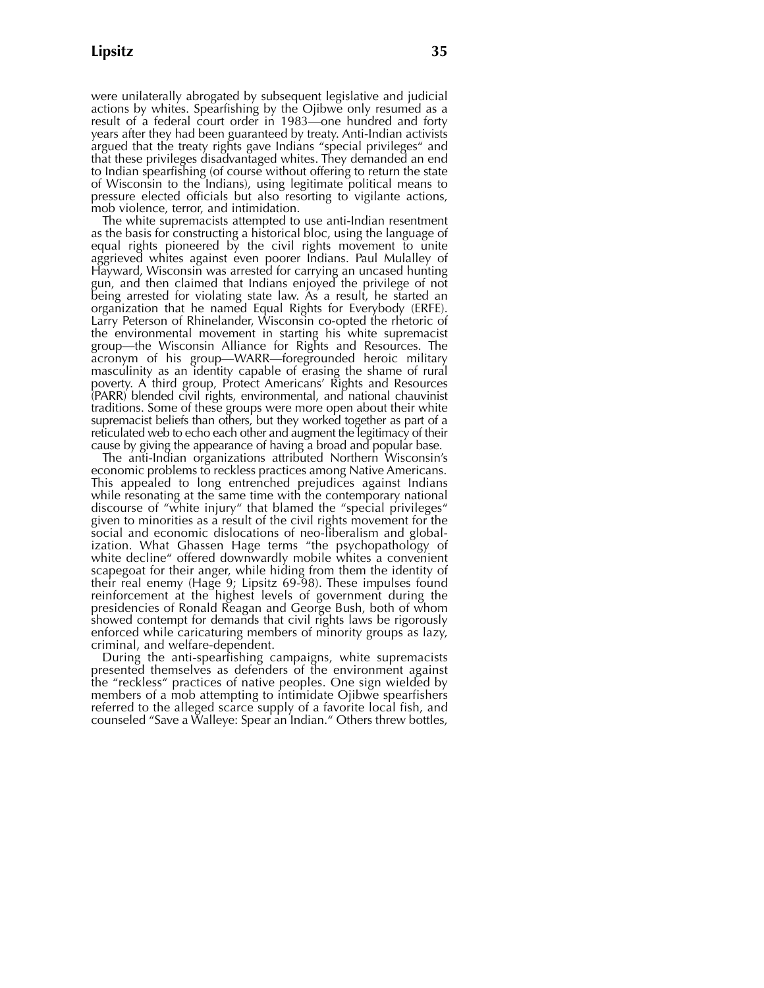were unilaterally abrogated by subsequent legislative and judicial actions by whites. Spearfishing by the Ojibwe only resumed as a result of a federal court order in 1983—one hundred and forty years after they had been guaranteed by treaty. Anti-Indian activists argued that the treaty rights gave Indians "special privileges" and that these privileges disadvantaged whites. They demanded an end to Indian spearfishing (of course without offering to return the state of Wisconsin to the Indians), using legitimate political means to pressure elected officials but also resorting to vigilante actions, mob violence, terror, and intimidation.

The white supremacists attempted to use anti-Indian resentment as the basis for constructing a historical bloc, using the language of equal rights pioneered by the civil rights movement to unite aggrieved whites against even poorer Indians. Paul Mulalley of Hayward, Wisconsin was arrested for carrying an uncased hunting gun, and then claimed that Indians enjoyed the privilege of not being arrested for violating state law. As a result, he started an organization that he named Equal Rights for Everybody (ERFE). Larry Peterson of Rhinelander, Wisconsin co-opted the rhetoric of the environmental movement in starting his white supremacist group—the Wisconsin Alliance for Rights and Resources. The acronym of his group—WARR—foregrounded heroic military masculinity as an identity capable of erasing the shame of rural poverty. A third group, Protect Americans' Rights and Resources (PARR) blended civil rights, environmental, and national chauvinist traditions. Some of these groups were more open about their white supremacist beliefs than others, but they worked together as part of a reticulated web to echo each other and augment the legitimacy of their cause by giving the appearance of having a broad and popular base.

The anti-Indian organizations attributed Northern Wisconsin's economic problems to reckless practices among Native Americans. This appealed to long entrenched prejudices against Indians while resonating at the same time with the contemporary national discourse of "white injury" that blamed the "special privileges" given to minorities as a result of the civil rights movement for the social and economic dislocations of neo-liberalism and globalization. What Ghassen Hage terms "the psychopathology of white decline" offered downwardly mobile whites a convenient scapegoat for their anger, while hiding from them the identity of their real enemy (Hage 9; Lipsitz 69-98). These impulses found reinforcement at the highest levels of government during the presidencies of Ronald Reagan and George Bush, both of whom showed contempt for demands that civil rights laws be rigorously enforced while caricaturing members of minority groups as lazy, criminal, and welfare-dependent.

During the anti-spearfishing campaigns, white supremacists presented themselves as defenders of the environment against the "reckless" practices of native peoples. One sign wielded by members of a mob attempting to intimidate Ojibwe spearfishers referred to the alleged scarce supply of a favorite local fish, and counseled "Save a Walleye: Spear an Indian." Others threw bottles,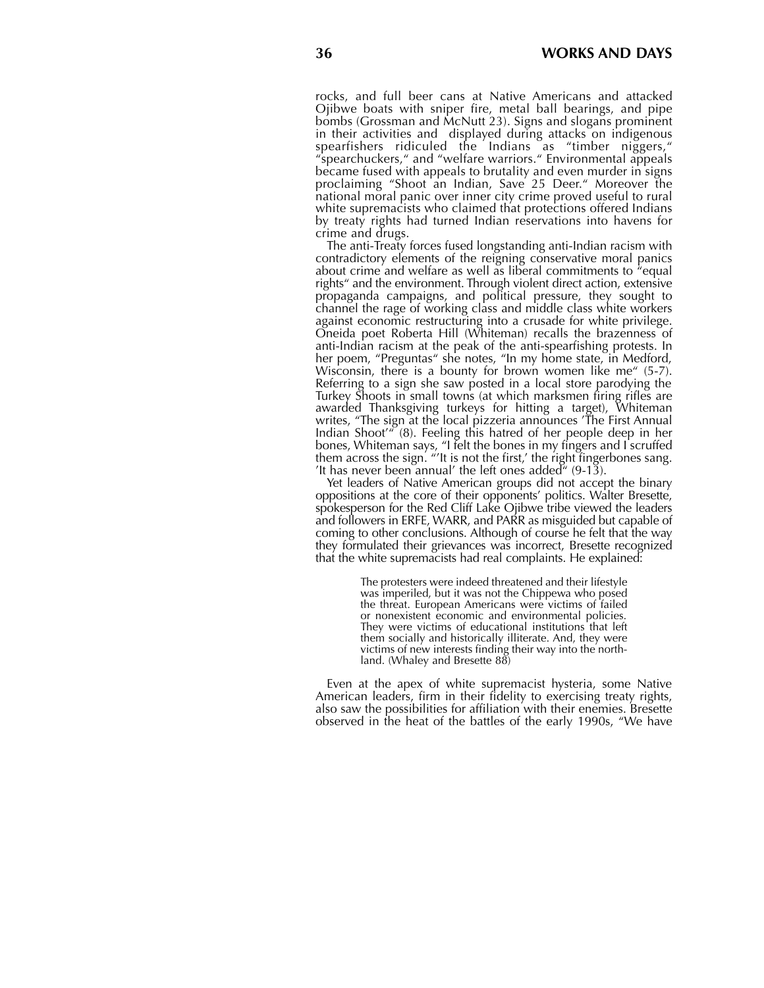rocks, and full beer cans at Native Americans and attacked Ojibwe boats with sniper fire, metal ball bearings, and pipe bombs (Grossman and McNutt 23). Signs and slogans prominent in their activities and displayed during attacks on indigenous spearfishers ridiculed the Indians as "timber niggers," "spearchuckers," and "welfare warriors." Environmental appeals became fused with appeals to brutality and even murder in signs proclaiming "Shoot an Indian, Save 25 Deer." Moreover the national moral panic over inner city crime proved useful to rural white supremacists who claimed that protections offered Indians by treaty rights had turned Indian reservations into havens for crime and drugs.

The anti-Treaty forces fused longstanding anti-Indian racism with contradictory elements of the reigning conservative moral panics about crime and welfare as well as liberal commitments to "equal rights" and the environment. Through violent direct action, extensive propaganda campaigns, and political pressure, they sought to channel the rage of working class and middle class white workers against economic restructuring into a crusade for white privilege. Oneida poet Roberta Hill (Whiteman) recalls the brazenness of anti-Indian racism at the peak of the anti-spearfishing protests. In her poem, "Preguntas" she notes, "In my home state, in Medford, Wisconsin, there is a bounty for brown women like me" (5-7). Referring to a sign she saw posted in a local store parodying the Turkey Shoots in small towns (at which marksmen firing rifles are awarded Thanksgiving turkeys for hitting a target), Whiteman writes, "The sign at the local pizzeria announces 'The First Annual Indian Shoot'" (8). Feeling this hatred of her people deep in her bones, Whiteman says, "I felt the bones in my fingers and I scruffed them across the sign. "'It is not the first,' the right fingerbones sang. 'It has never been annual' the left ones added" (9-13).

Yet leaders of Native American groups did not accept the binary oppositions at the core of their opponents' politics. Walter Bresette, spokesperson for the Red Cliff Lake Ojibwe tribe viewed the leaders and followers in ERFE, WARR, and PARR as misguided but capable of coming to other conclusions. Although of course he felt that the way they formulated their grievances was incorrect, Bresette recognized that the white supremacists had real complaints. He explained:

> The protesters were indeed threatened and their lifestyle was imperiled, but it was not the Chippewa who posed the threat. European Americans were victims of failed or nonexistent economic and environmental policies. They were victims of educational institutions that left them socially and historically illiterate. And, they were victims of new interests finding their way into the northland. (Whaley and Bresette 88)

Even at the apex of white supremacist hysteria, some Native American leaders, firm in their fidelity to exercising treaty rights, also saw the possibilities for affiliation with their enemies. Bresette observed in the heat of the battles of the early 1990s, "We have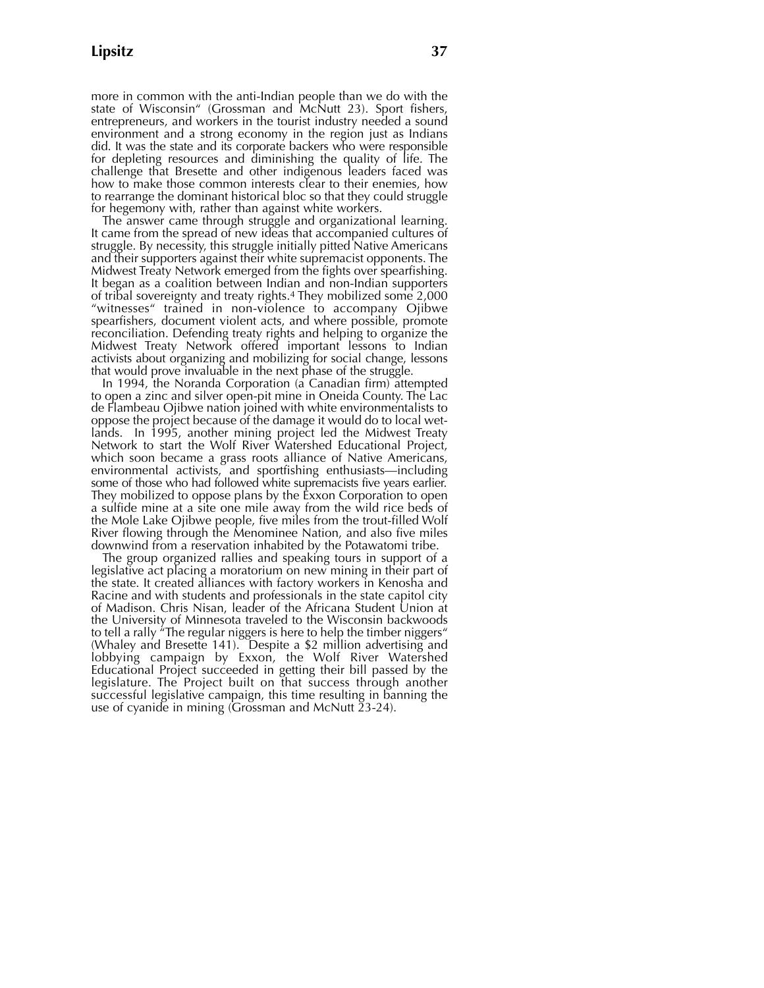more in common with the anti-Indian people than we do with the state of Wisconsin" (Grossman and McNutt 23). Sport fishers, entrepreneurs, and workers in the tourist industry needed a sound environment and a strong economy in the region just as Indians did. It was the state and its corporate backers who were responsible for depleting resources and diminishing the quality of life. The challenge that Bresette and other indigenous leaders faced was how to make those common interests clear to their enemies, how to rearrange the dominant historical bloc so that they could struggle for hegemony with, rather than against white workers.

The answer came through struggle and organizational learning. It came from the spread of new ideas that accompanied cultures of struggle. By necessity, this struggle initially pitted Native Americans and their supporters against their white supremacist opponents. The Midwest Treaty Network emerged from the fights over spearfishing. It began as a coalition between Indian and non-Indian supporters of tribal sovereignty and treaty rights.<sup>4</sup> They mobilized some 2,000 "witnesses" trained in non-violence to accompany Ojibwe spearfishers, document violent acts, and where possible, promote reconciliation. Defending treaty rights and helping to organize the Midwest Treaty Network offered important lessons to Indian activists about organizing and mobilizing for social change, lessons that would prove invaluable in the next phase of the struggle.

In 1994, the Noranda Corporation (a Canadian firm) attempted to open a zinc and silver open-pit mine in Oneida County. The Lac de Flambeau Ojibwe nation joined with white environmentalists to oppose the project because of the damage it would do to local wetlands. In 1995, another mining project led the Midwest Treaty Network to start the Wolf River Watershed Educational Project, which soon became a grass roots alliance of Native Americans, environmental activists, and sportfishing enthusiasts—including some of those who had followed white supremacists five years earlier. They mobilized to oppose plans by the Exxon Corporation to open a sulfide mine at a site one mile away from the wild rice beds of the Mole Lake Ojibwe people, five miles from the trout-filled Wolf River flowing through the Menominee Nation, and also five miles downwind from a reservation inhabited by the Potawatomi tribe.

The group organized rallies and speaking tours in support of a legislative act placing a moratorium on new mining in their part of the state. It created alliances with factory workers in Kenosha and Racine and with students and professionals in the state capitol city of Madison. Chris Nisan, leader of the Africana Student Union at the University of Minnesota traveled to the Wisconsin backwoods to tell a rally "The regular niggers is here to help the timber niggers" (Whaley and Bresette 141). Despite a \$2 million advertising and lobbying campaign by Exxon, the Wolf River Watershed Educational Project succeeded in getting their bill passed by the legislature. The Project built on that success through another successful legislative campaign, this time resulting in banning the use of cyanide in mining (Grossman and McNutt 23-24).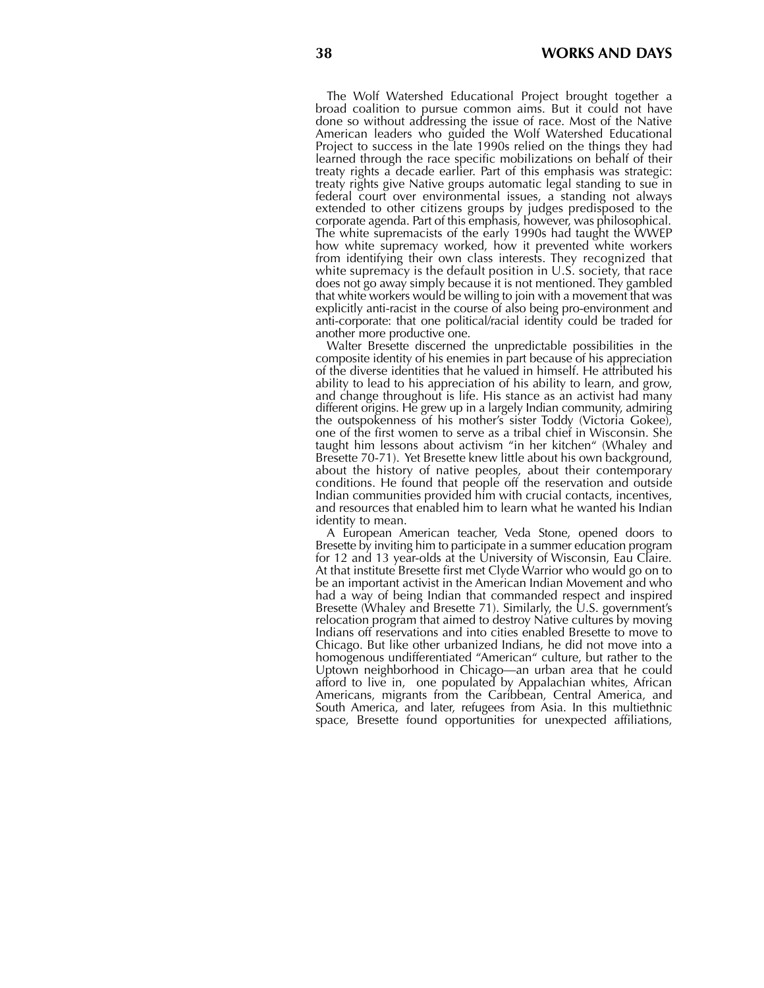The Wolf Watershed Educational Project brought together a broad coalition to pursue common aims. But it could not have done so without addressing the issue of race. Most of the Native American leaders who guided the Wolf Watershed Educational Project to success in the late 1990s relied on the things they had learned through the race specific mobilizations on behalf of their treaty rights a decade earlier. Part of this emphasis was strategic: treaty rights give Native groups automatic legal standing to sue in federal court over environmental issues, a standing not always extended to other citizens groups by judges predisposed to the corporate agenda. Part of this emphasis, however, was philosophical. The white supremacists of the early 1990s had taught the WWEP how white supremacy worked, how it prevented white workers from identifying their own class interests. They recognized that white supremacy is the default position in U.S. society, that race does not go away simply because it is not mentioned. They gambled that white workers would be willing to join with a movement that was explicitly anti-racist in the course of also being pro-environment and anti-corporate: that one political/racial identity could be traded for another more productive one.

Walter Bresette discerned the unpredictable possibilities in the composite identity of his enemies in part because of his appreciation of the diverse identities that he valued in himself. He attributed his ability to lead to his appreciation of his ability to learn, and grow, and change throughout is life. His stance as an activist had many different origins. He grew up in a largely Indian community, admiring the outspokenness of his mother's sister Toddy (Victoria Gokee), one of the first women to serve as a tribal chief in Wisconsin. She taught him lessons about activism "in her kitchen" (Whaley and Bresette 70-71). Yet Bresette knew little about his own background, about the history of native peoples, about their contemporary conditions. He found that people off the reservation and outside Indian communities provided him with crucial contacts, incentives, and resources that enabled him to learn what he wanted his Indian identity to mean.

A European American teacher, Veda Stone, opened doors to Bresette by inviting him to participate in a summer education program for 12 and 13 year-olds at the University of Wisconsin, Eau Claire. At that institute Bresette first met Clyde Warrior who would go on to be an important activist in the American Indian Movement and who had a way of being Indian that commanded respect and inspired Bresette (Whaley and Bresette 71). Similarly, the U.S. government's relocation program that aimed to destroy Native cultures by moving Indians off reservations and into cities enabled Bresette to move to Chicago. But like other urbanized Indians, he did not move into a homogenous undifferentiated "American" culture, but rather to the Uptown neighborhood in Chicago—an urban area that he could afford to live in, one populated by Appalachian whites, African Americans, migrants from the Caribbean, Central America, and South America, and later, refugees from Asia. In this multiethnic space, Bresette found opportunities for unexpected affiliations,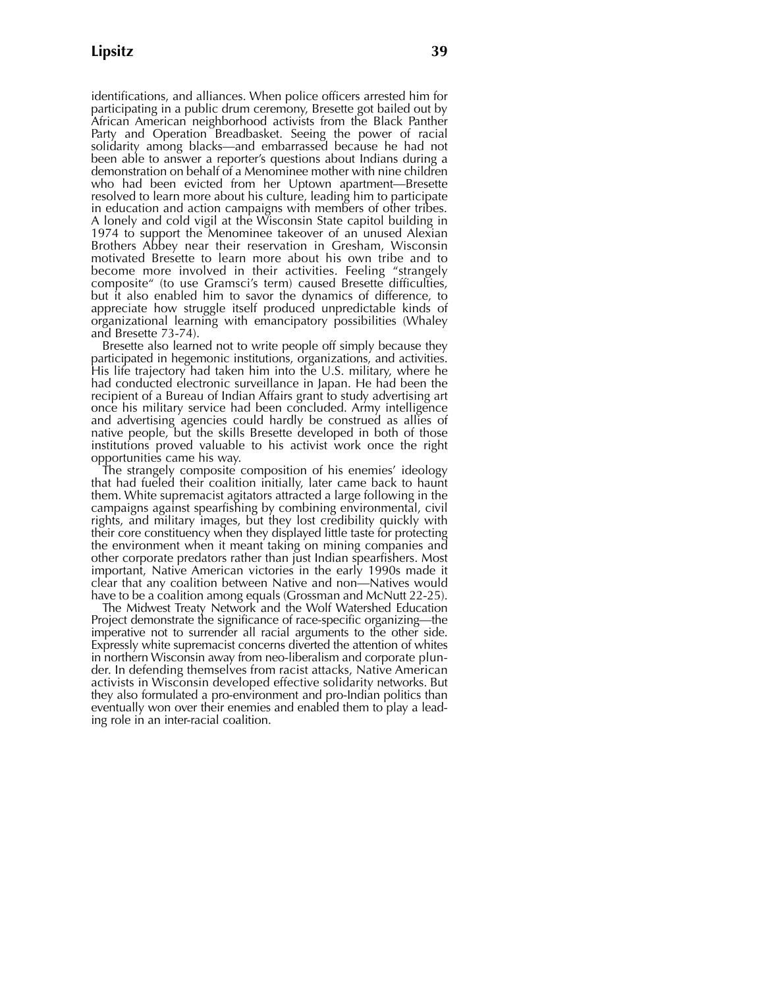identifications, and alliances. When police officers arrested him for participating in a public drum ceremony, Bresette got bailed out by African American neighborhood activists from the Black Panther Party and Operation Breadbasket. Seeing the power of racial solidarity among blacks—and embarrassed because he had not been able to answer a reporter's questions about Indians during a demonstration on behalf of a Menominee mother with nine children who had been evicted from her Uptown apartment—Bresette resolved to learn more about his culture, leading him to participate in education and action campaigns with members of other tribes. A lonely and cold vigil at the Wisconsin State capitol building in 1974 to support the Menominee takeover of an unused Alexian Brothers Abbey near their reservation in Gresham, Wisconsin motivated Bresette to learn more about his own tribe and to become more involved in their activities. Feeling "strangely composite" (to use Gramsci's term) caused Bresette difficulties, but it also enabled him to savor the dynamics of difference, to appreciate how struggle itself produced unpredictable kinds of organizational learning with emancipatory possibilities (Whaley and Bresette 73-74).

Bresette also learned not to write people off simply because they participated in hegemonic institutions, organizations, and activities. His life trajectory had taken him into the U.S. military, where he had conducted electronic surveillance in Japan. He had been the recipient of a Bureau of Indian Affairs grant to study advertising art once his military service had been concluded. Army intelligence and advertising agencies could hardly be construed as allies of native people, but the skills Bresette developed in both of those institutions proved valuable to his activist work once the right opportunities came his way.

The strangely composite composition of his enemies' ideology that had fueled their coalition initially, later came back to haunt them. White supremacist agitators attracted a large following in the campaigns against spearfishing by combining environmental, civil rights, and military images, but they lost credibility quickly with their core constituency when they displayed little taste for protecting the environment when it meant taking on mining companies and other corporate predators rather than just Indian spearfishers. Most important, Native American victories in the early 1990s made it clear that any coalition between Native and non—Natives would have to be a coalition among equals (Grossman and McNutt 22-25).

The Midwest Treaty Network and the Wolf Watershed Education Project demonstrate the significance of race-specific organizing—the imperative not to surrender all racial arguments to the other side. Expressly white supremacist concerns diverted the attention of whites in northern Wisconsin away from neo-liberalism and corporate plunder. In defending themselves from racist attacks, Native American activists in Wisconsin developed effective solidarity networks. But they also formulated a pro-environment and pro-Indian politics than eventually won over their enemies and enabled them to play a leading role in an inter-racial coalition.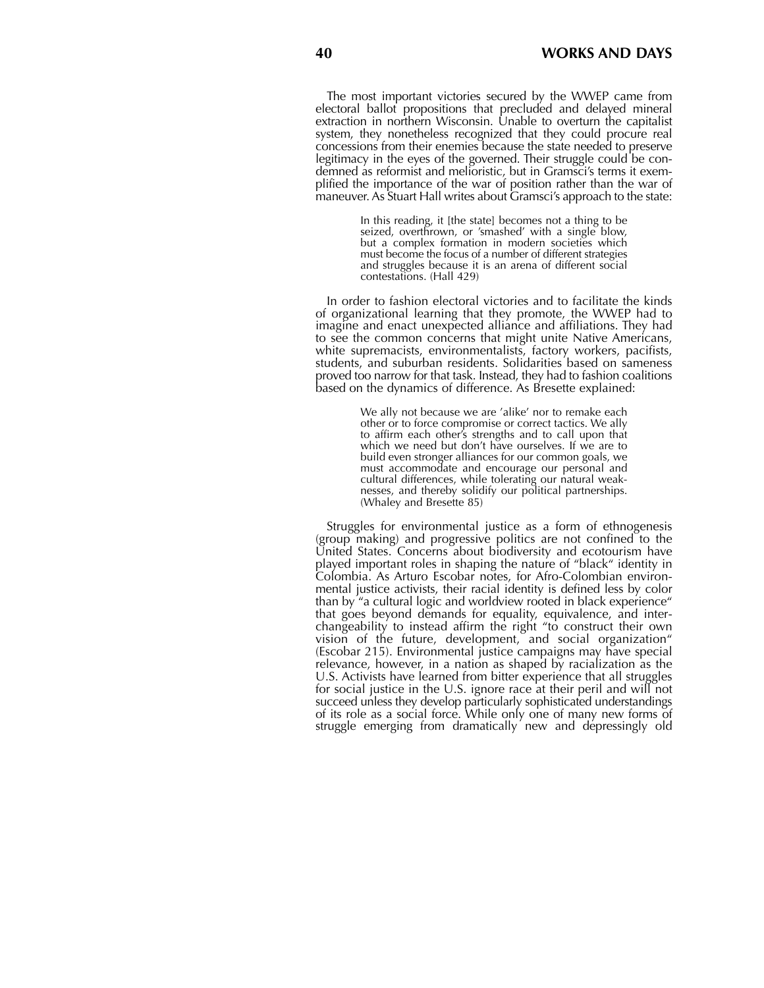The most important victories secured by the WWEP came from electoral ballot propositions that precluded and delayed mineral extraction in northern Wisconsin. Unable to overturn the capitalist system, they nonetheless recognized that they could procure real concessions from their enemies because the state needed to preserve legitimacy in the eyes of the governed. Their struggle could be condemned as reformist and melioristic, but in Gramsci's terms it exemplified the importance of the war of position rather than the war of maneuver. As Stuart Hall writes about Gramsci's approach to the state:

> In this reading, it [the state] becomes not a thing to be seized, overthrown, or 'smashed' with a single blow, but a complex formation in modern societies which must become the focus of a number of different strategies and struggles because it is an arena of different social contestations. (Hall 429)

In order to fashion electoral victories and to facilitate the kinds of organizational learning that they promote, the WWEP had to imagine and enact unexpected alliance and affiliations. They had to see the common concerns that might unite Native Americans, white supremacists, environmentalists, factory workers, pacifists, students, and suburban residents. Solidarities based on sameness proved too narrow for that task. Instead, they had to fashion coalitions based on the dynamics of difference. As Bresette explained:

> We ally not because we are 'alike' nor to remake each other or to force compromise or correct tactics. We ally to affirm each other's strengths and to call upon that which we need but don't have ourselves. If we are to build even stronger alliances for our common goals, we must accommodate and encourage our personal and cultural differences, while tolerating our natural weaknesses, and thereby solidify our political partnerships. (Whaley and Bresette 85)

Struggles for environmental justice as a form of ethnogenesis (group making) and progressive politics are not confined to the United States. Concerns about biodiversity and ecotourism have played important roles in shaping the nature of "black" identity in Colombia. As Arturo Escobar notes, for Afro-Colombian environmental justice activists, their racial identity is defined less by color than by "a cultural logic and worldview rooted in black experience" that goes beyond demands for equality, equivalence, and interchangeability to instead affirm the right "to construct their own vision of the future, development, and social organization" (Escobar 215). Environmental justice campaigns may have special relevance, however, in a nation as shaped by racialization as the U.S. Activists have learned from bitter experience that all struggles for social justice in the U.S. ignore race at their peril and will not succeed unless they develop particularly sophisticated understandings of its role as a social force. While only one of many new forms of struggle emerging from dramatically new and depressingly old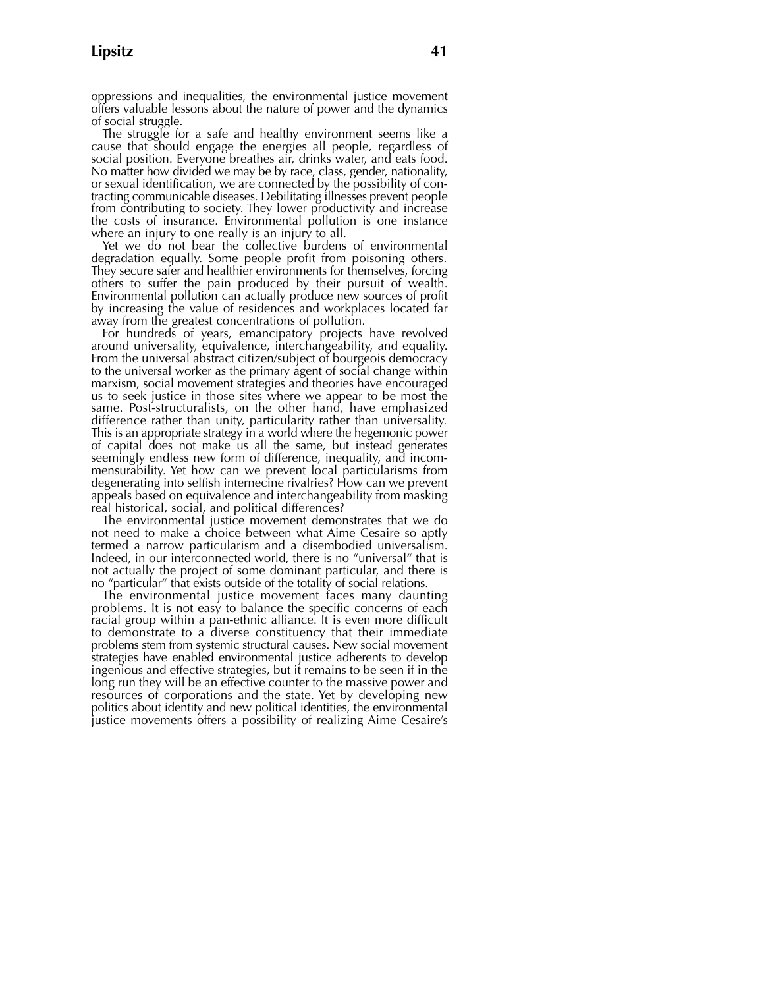oppressions and inequalities, the environmental justice movement offers valuable lessons about the nature of power and the dynamics of social struggle.

The struggle for a safe and healthy environment seems like a cause that should engage the energies all people, regardless of social position. Everyone breathes air, drinks water, and eats food. No matter how divided we may be by race, class, gender, nationality, or sexual identification, we are connected by the possibility of contracting communicable diseases. Debilitating illnesses prevent people from contributing to society. They lower productivity and increase the costs of insurance. Environmental pollution is one instance where an injury to one really is an injury to all.

Yet we do not bear the collective burdens of environmental degradation equally. Some people profit from poisoning others. They secure safer and healthier environments for themselves, forcing others to suffer the pain produced by their pursuit of wealth. Environmental pollution can actually produce new sources of profit by increasing the value of residences and workplaces located far away from the greatest concentrations of pollution.

For hundreds of years, emancipatory projects have revolved around universality, equivalence, interchangeability, and equality. From the universal abstract citizen/subject of bourgeois democracy to the universal worker as the primary agent of social change within marxism, social movement strategies and theories have encouraged us to seek justice in those sites where we appear to be most the same. Post-structuralists, on the other hand, have emphasized difference rather than unity, particularity rather than universality. This is an appropriate strategy in a world where the hegemonic power of capital does not make us all the same, but instead generates seemingly endless new form of difference, inequality, and incommensurability. Yet how can we prevent local particularisms from degenerating into selfish internecine rivalries? How can we prevent appeals based on equivalence and interchangeability from masking real historical, social, and political differences?

The environmental justice movement demonstrates that we do not need to make a choice between what Aime Cesaire so aptly termed a narrow particularism and a disembodied universalism. Indeed, in our interconnected world, there is no "universal" that is not actually the project of some dominant particular, and there is no "particular" that exists outside of the totality of social relations.

The environmental justice movement faces many daunting problems. It is not easy to balance the specific concerns of each racial group within a pan-ethnic alliance. It is even more difficult to demonstrate to a diverse constituency that their immediate problems stem from systemic structural causes. New social movement strategies have enabled environmental justice adherents to develop ingenious and effective strategies, but it remains to be seen if in the long run they will be an effective counter to the massive power and resources of corporations and the state. Yet by developing new politics about identity and new political identities, the environmental justice movements offers a possibility of realizing Aime Cesaire's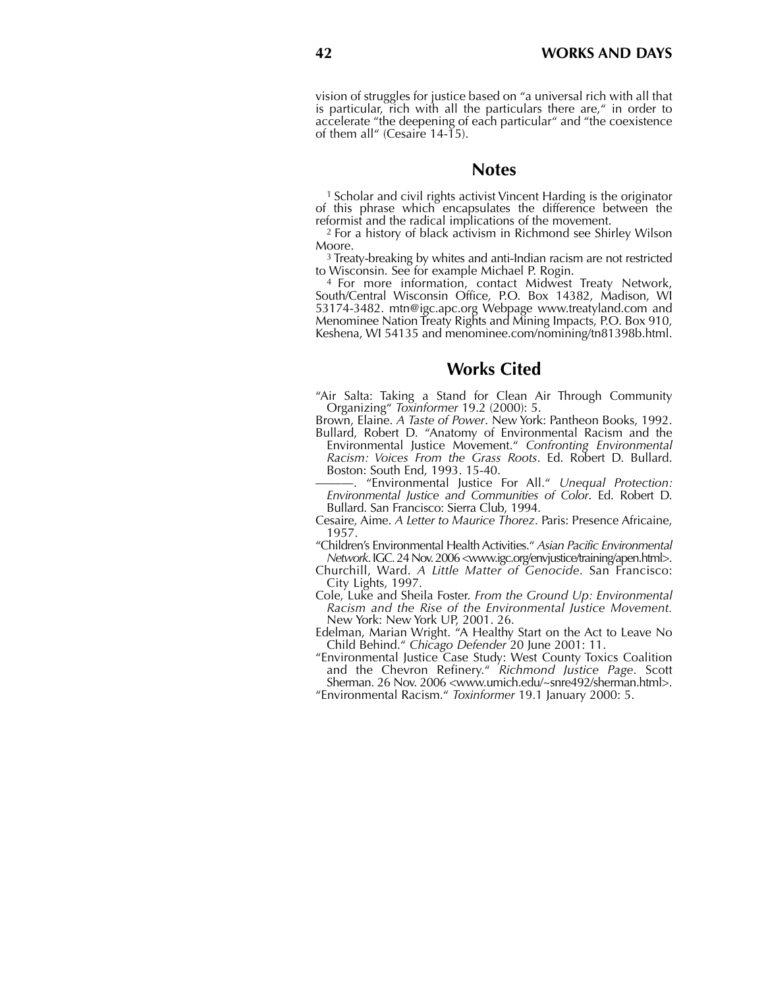vision of struggles for justice based on "a universal rich with all that is particular, rich with all the particulars there are," in order to accelerate "the deepening of each particular" and "the coexistence of them all" (Cesaire 14-15).

### **Notes**

<sup>1</sup>Scholar and civil rights activist Vincent Harding is the originator of this phrase which encapsulates the difference between the reformist and the radical implications of the movement.

<sup>2</sup>For a history of black activism in Richmond see Shirley Wilson Moore.

<sup>3</sup>Treaty-breaking by whites and anti-Indian racism are not restricted to Wisconsin. See for example Michael P. Rogin.

<sup>4</sup> For more information, contact Midwest Treaty Network, South/Central Wisconsin Office, P.O. Box 14382, Madison, WI 53174-3482. mtn@igc.apc.org Webpage www.treatyland.com and Menominee Nation Treaty Rights and Mining Impacts, P.O. Box 910, Keshena, WI 54135 and menominee.com/nomining/tn81398b.html.

## **Works Cited**

"Air Salta: Taking a Stand for Clean Air Through Community Organizing" *Toxinformer* 19.2 (2000): 5.

Brown, Elaine. *A Taste of Power*. New York: Pantheon Books, 1992.

Bullard, Robert D. "Anatomy of Environmental Racism and the Environmental Justice Movement." *Confronting Environmental Racism: Voices From the Grass Roots*. Ed. Robert D. Bullard. Boston: South End, 1993. 15-40.

———. "Environmental Justice For All." *Unequal Protection: Environmental Justice and Communities of Color*. Ed. Robert D. Bullard. San Francisco: Sierra Club, 1994.

Cesaire, Aime. *A Letter to Maurice Thorez*. Paris: Presence Africaine, 1957.

"Children's Environmental Health Activities." *Asian Pacific Environmental Network*. IGC. 24 Nov. 2006 <www.igc.org/envjustice/training/apen.html>.

Churchill, Ward. *A Little Matter of Genocide*. San Francisco: City Lights, 1997.

Cole, Luke and Sheila Foster. *From the Ground Up: Environmental Racism and the Rise of the Environmental Justice Movement.* New York: New York UP, 2001. 26.

Edelman, Marian Wright. "A Healthy Start on the Act to Leave No Child Behind." *Chicago Defender* 20 June 2001: 11.

"Environmental Justice Case Study: West County Toxics Coalition and the Chevron Refinery." *Richmond Justice Page*. Scott Sherman. 26 Nov. 2006 <www.umich.edu/~snre492/sherman.html>.

"Environmental Racism." *Toxinformer* 19.1 January 2000: 5.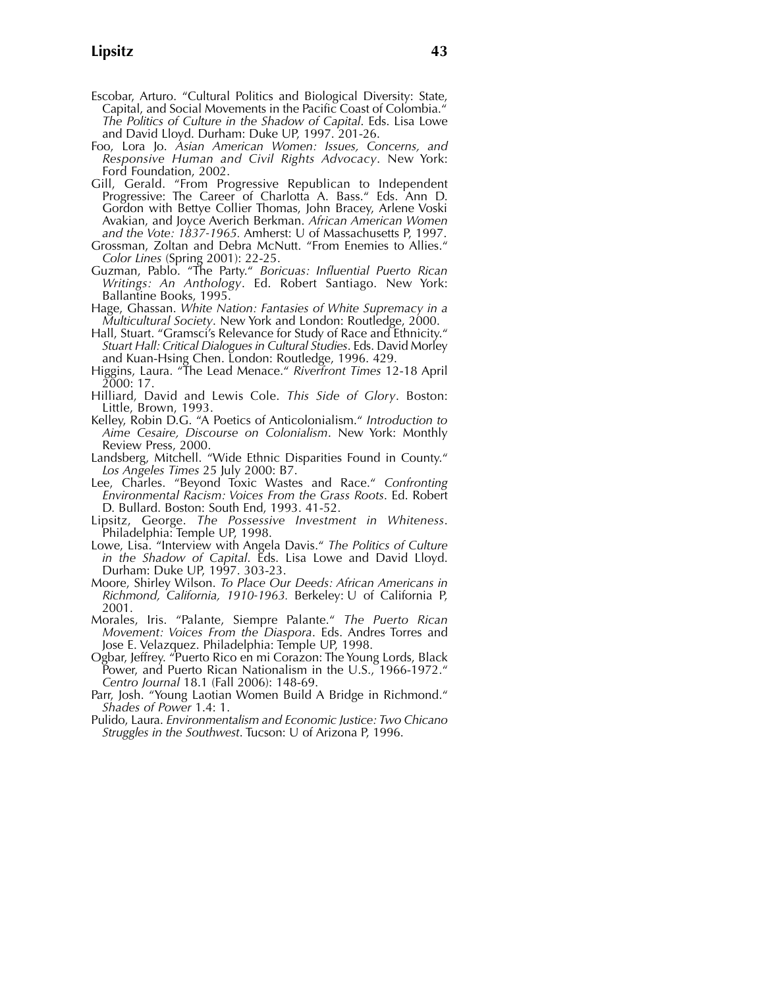- Escobar, Arturo. "Cultural Politics and Biological Diversity: State, Capital, and Social Movements in the Pacific Coast of Colombia." *The Politics of Culture in the Shadow of Capital*. Eds. Lisa Lowe and David Lloyd. Durham: Duke UP, 1997. 201-26.
- Foo, Lora Jo. *Asian American Women: Issues, Concerns, and Responsive Human and Civil Rights Advocacy*. New York: Ford Foundation, 2002.
- Gill, Gerald. "From Progressive Republican to Independent Progressive: The Career of Charlotta A. Bass." Eds. Ann D. Gordon with Bettye Collier Thomas, John Bracey, Arlene Voski Avakian, and Joyce Averich Berkman. *African American Women and the Vote: 1837-1965.* Amherst: U of Massachusetts P, 1997.
- Grossman, Zoltan and Debra McNutt. "From Enemies to Allies." *Color Lines* (Spring 2001): 22-25.
- Guzman, Pablo. "The Party." *Boricuas: Influential Puerto Rican Writings: An Anthology*. Ed. Robert Santiago. New York: Ballantine Books, 1995.
- Hage, Ghassan. *White Nation: Fantasies of White Supremacy in a Multicultural Society*. New York and London: Routledge, 2000.
- Hall, Stuart. "Gramsci's Relevance for Study of Race and Ethnicity." *Stuart Hall: Critical Dialogues in Cultural Studies*. Eds. David Morley and Kuan-Hsing Chen. London: Routledge, 1996. 429.
- Higgins, Laura. "The Lead Menace." *Riverfront Times* 12-18 April 2000: 17.
- Hilliard, David and Lewis Cole. *This Side of Glory*. Boston: Little, Brown, 1993.
- Kelley, Robin D.G. "A Poetics of Anticolonialism." *Introduction to Aime Cesaire, Discourse on Colonialism*. New York: Monthly Review Press, 2000.
- Landsberg, Mitchell. "Wide Ethnic Disparities Found in County." *Los Angeles Times* 25 July 2000: B7.
- Lee, Charles. "Beyond Toxic Wastes and Race." *Confronting Environmental Racism: Voices From the Grass Roots*. Ed. Robert D. Bullard. Boston: South End, 1993. 41-52.
- Lipsitz, George. *The Possessive Investment in Whiteness*. Philadelphia: Temple UP, 1998.
- Lowe, Lisa. "Interview with Angela Davis." *The Politics of Culture in the Shadow of Capital*. Eds. Lisa Lowe and David Lloyd. Durham: Duke UP, 1997. 303-23.
- Moore, Shirley Wilson. *To Place Our Deeds: African Americans in Richmond, California, 1910-1963.* Berkeley: U of California P, 2001.
- Morales, Iris. "Palante, Siempre Palante." *The Puerto Rican Movement: Voices From the Diaspora*. Eds. Andres Torres and Jose E. Velazquez. Philadelphia: Temple UP, 1998.
- Ogbar, Jeffrey. "Puerto Rico en mi Corazon: The Young Lords, Black Power, and Puerto Rican Nationalism in the U.S., 1966-1972." *Centro Journal* 18.1 (Fall 2006): 148-69.
- Parr, Josh. "Young Laotian Women Build A Bridge in Richmond." *Shades of Power* 1.4: 1.
- Pulido, Laura. *Environmentalism and Economic Justice: Two Chicano Struggles in the Southwest*. Tucson: U of Arizona P, 1996.